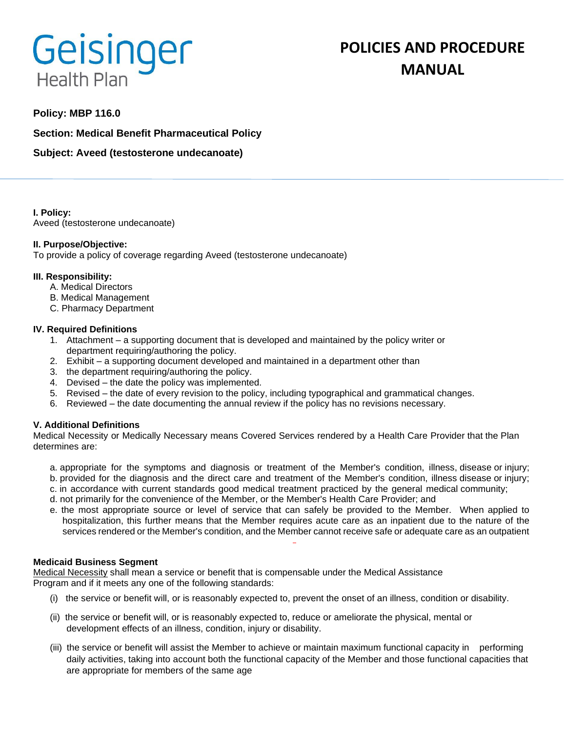# Geisinger **Health Plan**

# **POLICIES AND PROCEDURE MANUAL**

# **Policy: MBP 116.0**

**Section: Medical Benefit Pharmaceutical Policy**

**Subject: Aveed (testosterone undecanoate)**

**I. Policy:** Aveed (testosterone undecanoate)

#### **II. Purpose/Objective:**

To provide a policy of coverage regarding Aveed (testosterone undecanoate)

#### **III. Responsibility:**

- A. Medical Directors
- B. Medical Management
- C. Pharmacy Department

#### **IV. Required Definitions**

- 1. Attachment a supporting document that is developed and maintained by the policy writer or department requiring/authoring the policy.
- 2. Exhibit a supporting document developed and maintained in a department other than
- 3. the department requiring/authoring the policy.
- 4. Devised the date the policy was implemented.
- 5. Revised the date of every revision to the policy, including typographical and grammatical changes.
- 6. Reviewed the date documenting the annual review if the policy has no revisions necessary.

## **V. Additional Definitions**

Medical Necessity or Medically Necessary means Covered Services rendered by a Health Care Provider that the Plan determines are:

- a. appropriate for the symptoms and diagnosis or treatment of the Member's condition, illness, disease or injury; b. provided for the diagnosis and the direct care and treatment of the Member's condition, illness disease or injury;
- c. in accordance with current standards good medical treatment practiced by the general medical community;
- d. not primarily for the convenience of the Member, or the Member's Health Care Provider; and
- e. the most appropriate source or level of service that can safely be provided to the Member. When applied to hospitalization, this further means that the Member requires acute care as an inpatient due to the nature of the services rendered or the Member's condition, and the Member cannot receive safe or adequate care as an outpatient

#### **Medicaid Business Segment**

Medical Necessity shall mean a service or benefit that is compensable under the Medical Assistance Program and if it meets any one of the following standards:

- (i) the service or benefit will, or is reasonably expected to, prevent the onset of an illness, condition or disability.
- (ii) the service or benefit will, or is reasonably expected to, reduce or ameliorate the physical, mental or development effects of an illness, condition, injury or disability.
- (iii) the service or benefit will assist the Member to achieve or maintain maximum functional capacity in performing daily activities, taking into account both the functional capacity of the Member and those functional capacities that are appropriate for members of the same age